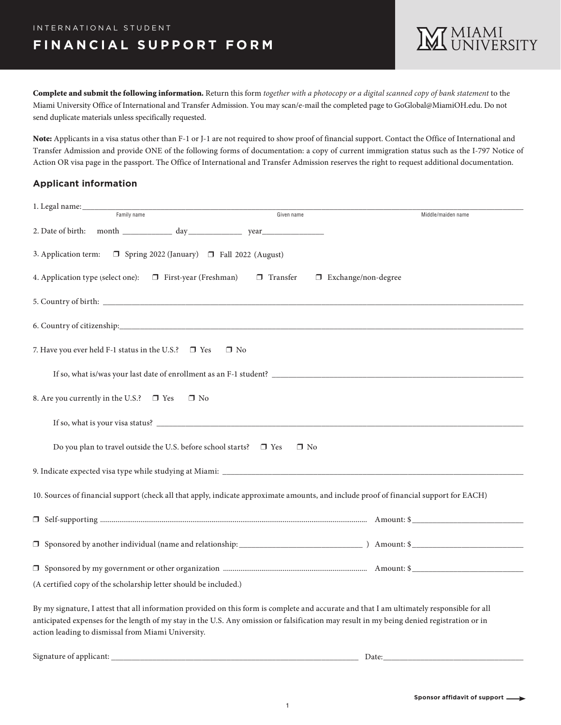Complete and submit the following information. Return this form *together with a photocopy or a digital scanned copy of bank statement* to the Miami University Office of International and Transfer Admission. You may scan/e-mail the completed page to GoGlobal@MiamiOH.edu. Do not send duplicate materials unless specifically requested.

Note: Applicants in a visa status other than F-1 or J-1 are not required to show proof of financial support. Contact the Office of International and Transfer Admission and provide ONE of the following forms of documentation: a copy of current immigration status such as the I-797 Notice of Action OR visa page in the passport. The Office of International and Transfer Admission reserves the right to request additional documentation.

### **Applicant information**

| 1. Legal name:                                                                                                                                                                                                                                                                                                                                |                                          |                    |  |
|-----------------------------------------------------------------------------------------------------------------------------------------------------------------------------------------------------------------------------------------------------------------------------------------------------------------------------------------------|------------------------------------------|--------------------|--|
| Family name                                                                                                                                                                                                                                                                                                                                   | Given name                               | Middle/maiden name |  |
|                                                                                                                                                                                                                                                                                                                                               |                                          |                    |  |
| $\Box$ Spring 2022 (January) $\Box$ Fall 2022 (August)<br>3. Application term:                                                                                                                                                                                                                                                                |                                          |                    |  |
| 4. Application type (select one):<br>$\Box$ First-year (Freshman)                                                                                                                                                                                                                                                                             | $\Box$ Transfer<br>□ Exchange/non-degree |                    |  |
|                                                                                                                                                                                                                                                                                                                                               |                                          |                    |  |
|                                                                                                                                                                                                                                                                                                                                               |                                          |                    |  |
| 7. Have you ever held F-1 status in the U.S.? $\Box$ Yes<br>$\Box$ No                                                                                                                                                                                                                                                                         |                                          |                    |  |
|                                                                                                                                                                                                                                                                                                                                               |                                          |                    |  |
| 8. Are you currently in the U.S.? □ Yes<br>$\Box$ No                                                                                                                                                                                                                                                                                          |                                          |                    |  |
|                                                                                                                                                                                                                                                                                                                                               |                                          |                    |  |
| Do you plan to travel outside the U.S. before school starts? $\square$ Yes                                                                                                                                                                                                                                                                    | $\Box$ No                                |                    |  |
|                                                                                                                                                                                                                                                                                                                                               |                                          |                    |  |
| 10. Sources of financial support (check all that apply, indicate approximate amounts, and include proof of financial support for EACH)                                                                                                                                                                                                        |                                          |                    |  |
|                                                                                                                                                                                                                                                                                                                                               |                                          |                    |  |
|                                                                                                                                                                                                                                                                                                                                               |                                          |                    |  |
|                                                                                                                                                                                                                                                                                                                                               |                                          |                    |  |
| (A certified copy of the scholarship letter should be included.)                                                                                                                                                                                                                                                                              |                                          |                    |  |
| By my signature, I attest that all information provided on this form is complete and accurate and that I am ultimately responsible for all<br>anticipated expenses for the length of my stay in the U.S. Any omission or falsification may result in my being denied registration or in<br>action leading to dismissal from Miami University. |                                          |                    |  |

Signature of applicant: \_\_\_\_\_\_\_\_\_\_\_\_\_\_\_\_\_\_\_\_\_\_\_\_\_\_\_\_\_\_\_\_\_\_\_\_\_\_\_\_\_\_\_\_\_\_\_\_\_\_\_\_\_\_\_\_\_\_\_\_ Date:\_\_\_\_\_\_\_\_\_\_\_\_\_\_\_\_\_\_\_\_\_\_\_\_\_\_\_\_\_\_\_\_\_\_